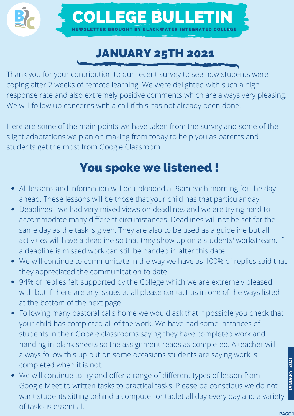



### JANUARY 25TH 2021

Thank you for your contribution to our recent survey to see how students were coping after 2 weeks of remote learning. We were delighted with such a high response rate and also extremely positive comments which are always very pleasing. We will follow up concerns with a call if this has not already been done.

Here are some of the main points we have taken from the survey and some of the slight adaptations we plan on making from today to help you as parents and students get the most from Google Classroom.

### You spoke we listened !

- All lessons and information will be uploaded at 9am each morning for the day ahead. These lessons will be those that your child has that particular day.
- Deadlines we had very mixed views on deadlines and we are trying hard to accommodate many different circumstances. Deadlines will not be set for the same day as the task is given. They are also to be used as a guideline but all activities will have a deadline so that they show up on a students' workstream. If a deadline is missed work can still be handed in after this date.
- We will continue to communicate in the way we have as 100% of replies said that they appreciated the communication to date.
- 94% of replies felt supported by the College which we are extremely pleased with but if there are any issues at all please contact us in one of the ways listed at the bottom of the next page.
- Following many pastoral calls home we would ask that if possible you check that your child has completed all of the work. We have had some instances of students in their Google classrooms saying they have completed work and handing in blank sheets so the assignment reads as completed. A teacher will always follow this up but on some occasions students are saying work is completed when it is not.
- We will continue to try and offer a range of different types of lesson from Google Meet to written tasks to practical tasks. Please be conscious we do not want students sitting behind a computer or tablet all day every day and a variety of tasks is essential.

**JA NUARY 2021**